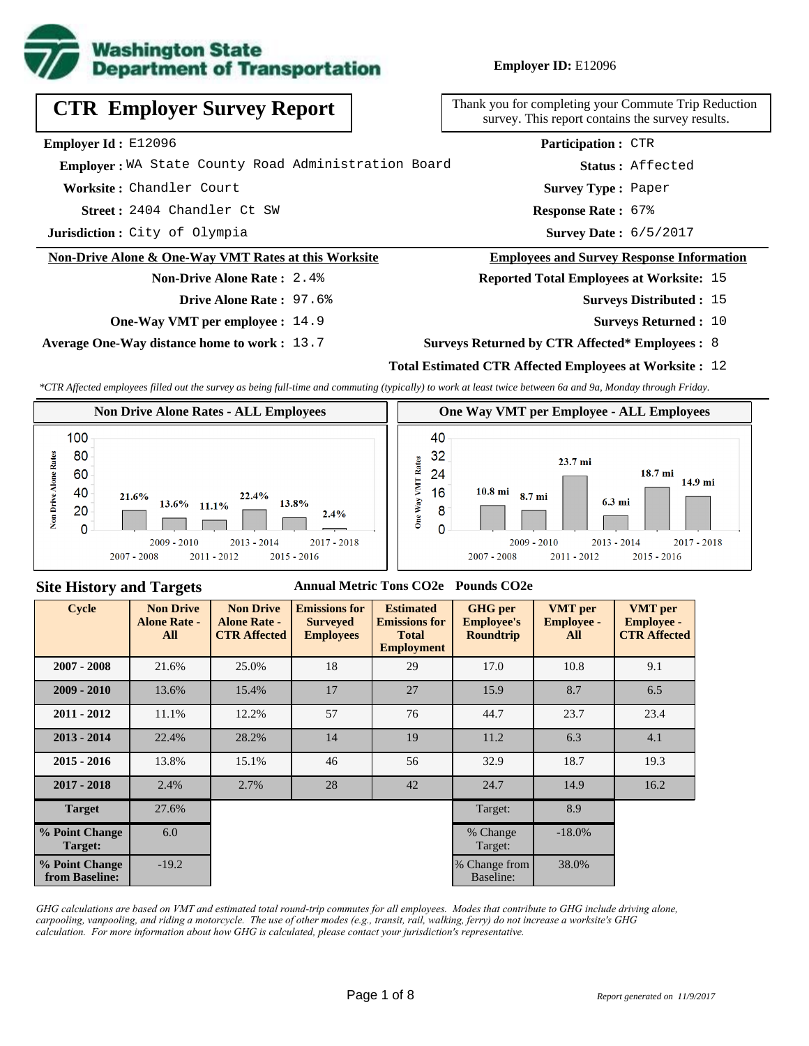

**Employer ID:** E12096

| <b>CTR Employer Survey Report</b>                               | Thank you for completing your<br>survey. This report contain |
|-----------------------------------------------------------------|--------------------------------------------------------------|
| Employer Id: E12096                                             | <b>Participation:</b>                                        |
| Emplover: WA State County Road Administration Board             | Status:                                                      |
| Worksite: Chandler Court                                        | <b>Survey Type:</b>                                          |
| Street: 2404 Chandler Ct SW                                     | <b>Response Rate:</b>                                        |
| <b>Jurisdiction:</b> City of Olympia                            | <b>Survey Date:</b>                                          |
| <b>Non-Drive Alone &amp; One-Way VMT Rates at this Worksite</b> | <b>Employees and Survey</b>                                  |
| <b>Non-Drive Alone Rate: 2.4%</b>                               | <b>Reported Total Employee</b>                               |
| Drive Alone Rate: 97.6%                                         | <b>Survey</b>                                                |

**One-Way VMT per employee :** 14.9

**Average One-Way distance home to work :** 13.7

your Commute Trip Reduction contains the survey results.

| Participation: CTR        |                         |
|---------------------------|-------------------------|
|                           | <b>Status:</b> Affected |
| <b>Survey Type: Paper</b> |                         |
| Response Rate: 67%        |                         |
| Survey Date: 6/5/2017     |                         |

## **Employees and Survey Response Information**

**Reployees at Worksite: 15** 

- Surveys Distributed : 15
	- **Surveys Returned :** 10

#### **Surveys Returned by CTR Affected\* Employees :** 8

### **Total Estimated CTR Affected Employees at Worksite :** 12

*\*CTR Affected employees filled out the survey as being full-time and commuting (typically) to work at least twice between 6a and 9a, Monday through Friday.*



### **Site History and Targets**

#### **Annual Metric Tons CO2e Pounds CO2e**

| <b>Cycle</b>                     | <b>Non Drive</b><br><b>Alone Rate -</b><br>All | <b>Non Drive</b><br><b>Alone Rate -</b><br><b>CTR Affected</b> | <b>Emissions for</b><br><b>Surveyed</b><br><b>Employees</b> | <b>Estimated</b><br><b>Emissions for</b><br><b>Total</b><br><b>Employment</b> | <b>GHG</b> per<br><b>Employee's</b><br><b>Roundtrip</b> | <b>VMT</b> per<br><b>Employee -</b><br>All | <b>VMT</b> per<br><b>Employee -</b><br><b>CTR Affected</b> |
|----------------------------------|------------------------------------------------|----------------------------------------------------------------|-------------------------------------------------------------|-------------------------------------------------------------------------------|---------------------------------------------------------|--------------------------------------------|------------------------------------------------------------|
| $2007 - 2008$                    | 21.6%                                          | 25.0%                                                          | 18                                                          | 29                                                                            | 17.0                                                    | 10.8                                       | 9.1                                                        |
| $2009 - 2010$                    | 13.6%                                          | 15.4%                                                          | 17                                                          | 27                                                                            | 15.9                                                    | 8.7                                        | 6.5                                                        |
| $2011 - 2012$                    | 11.1%                                          | 12.2%                                                          | 57                                                          | 76                                                                            | 44.7                                                    | 23.7                                       | 23.4                                                       |
| $2013 - 2014$                    | 22.4%                                          | 28.2%                                                          | 14                                                          | 19                                                                            | 11.2                                                    | 6.3                                        | 4.1                                                        |
| $2015 - 2016$                    | 13.8%                                          | 15.1%                                                          | 46                                                          | 56                                                                            | 32.9                                                    | 18.7                                       | 19.3                                                       |
| $2017 - 2018$                    | 2.4%                                           | 2.7%                                                           | 28                                                          | 42                                                                            | 24.7                                                    | 14.9                                       | 16.2                                                       |
| <b>Target</b>                    | 27.6%                                          |                                                                |                                                             |                                                                               | Target:                                                 | 8.9                                        |                                                            |
| % Point Change<br>Target:        | 6.0                                            |                                                                |                                                             |                                                                               | % Change<br>Target:                                     | $-18.0\%$                                  |                                                            |
| % Point Change<br>from Baseline: | $-19.2$                                        |                                                                |                                                             |                                                                               | % Change from<br>Baseline:                              | 38.0%                                      |                                                            |

*GHG calculations are based on VMT and estimated total round-trip commutes for all employees. Modes that contribute to GHG include driving alone, carpooling, vanpooling, and riding a motorcycle. The use of other modes (e.g., transit, rail, walking, ferry) do not increase a worksite's GHG calculation. For more information about how GHG is calculated, please contact your jurisdiction's representative.*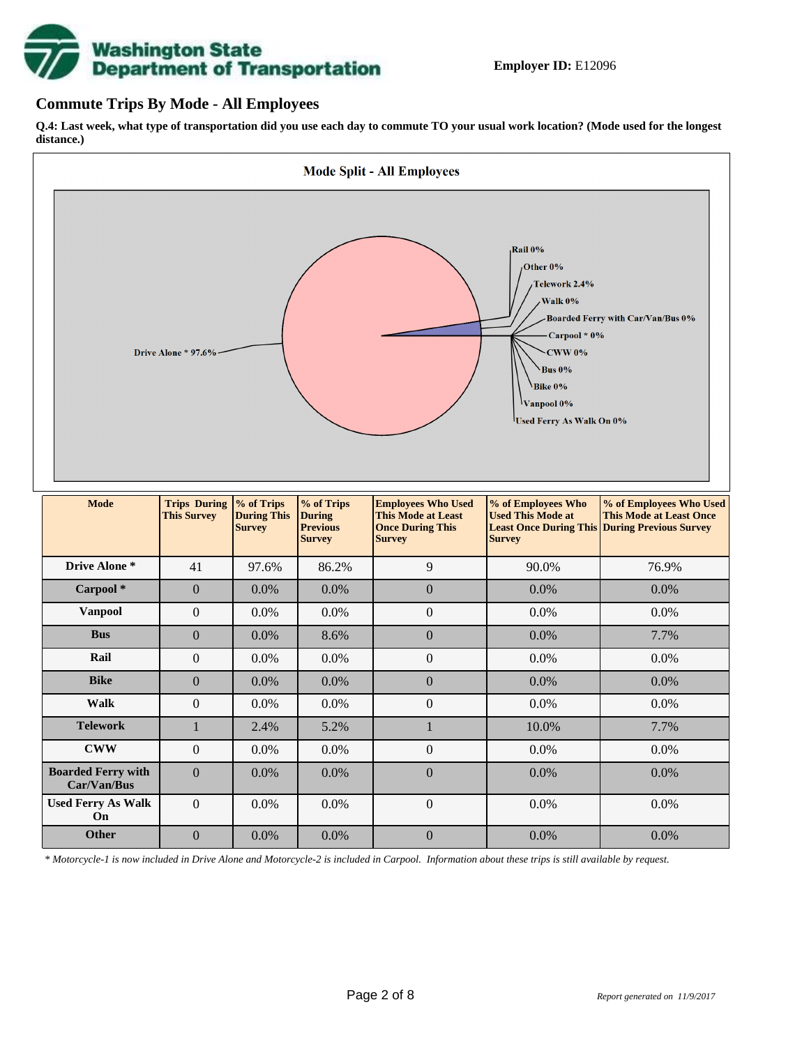

### **Commute Trips By Mode - All Employees**

**Q.4: Last week, what type of transportation did you use each day to commute TO your usual work location? (Mode used for the longest distance.)**



*\* Motorcycle-1 is now included in Drive Alone and Motorcycle-2 is included in Carpool. Information about these trips is still available by request.*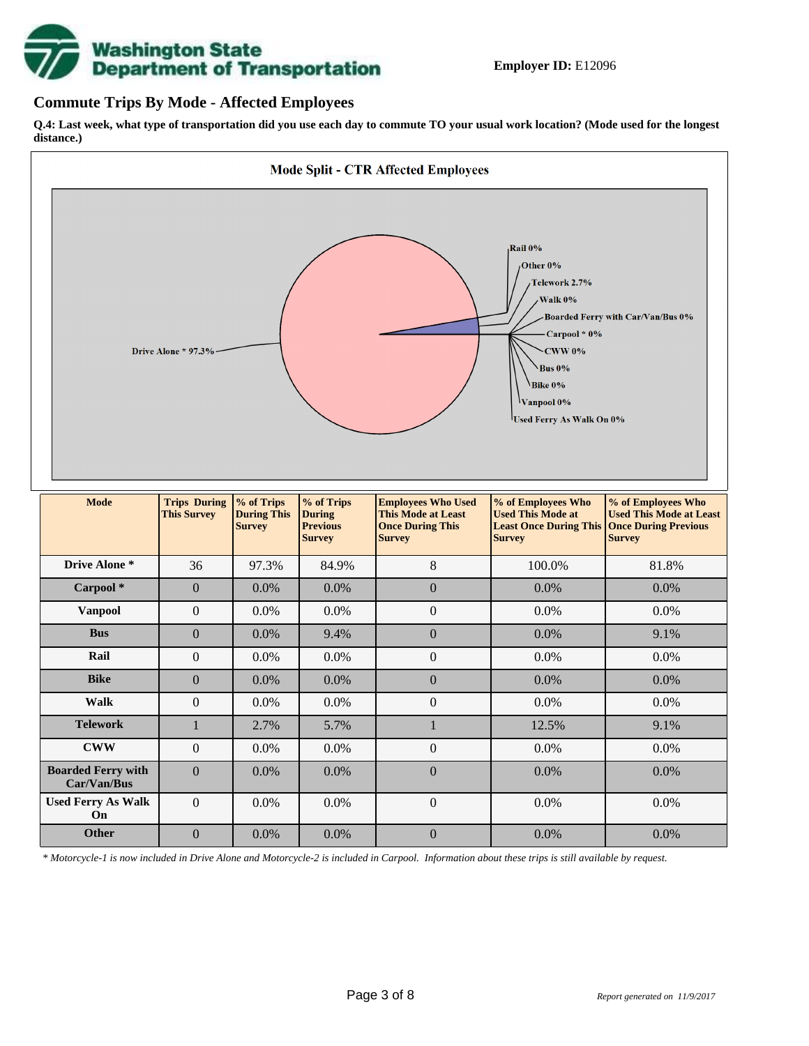

### **Commute Trips By Mode - Affected Employees**

**Q.4: Last week, what type of transportation did you use each day to commute TO your usual work location? (Mode used for the longest distance.)**



*\* Motorcycle-1 is now included in Drive Alone and Motorcycle-2 is included in Carpool. Information about these trips is still available by request.*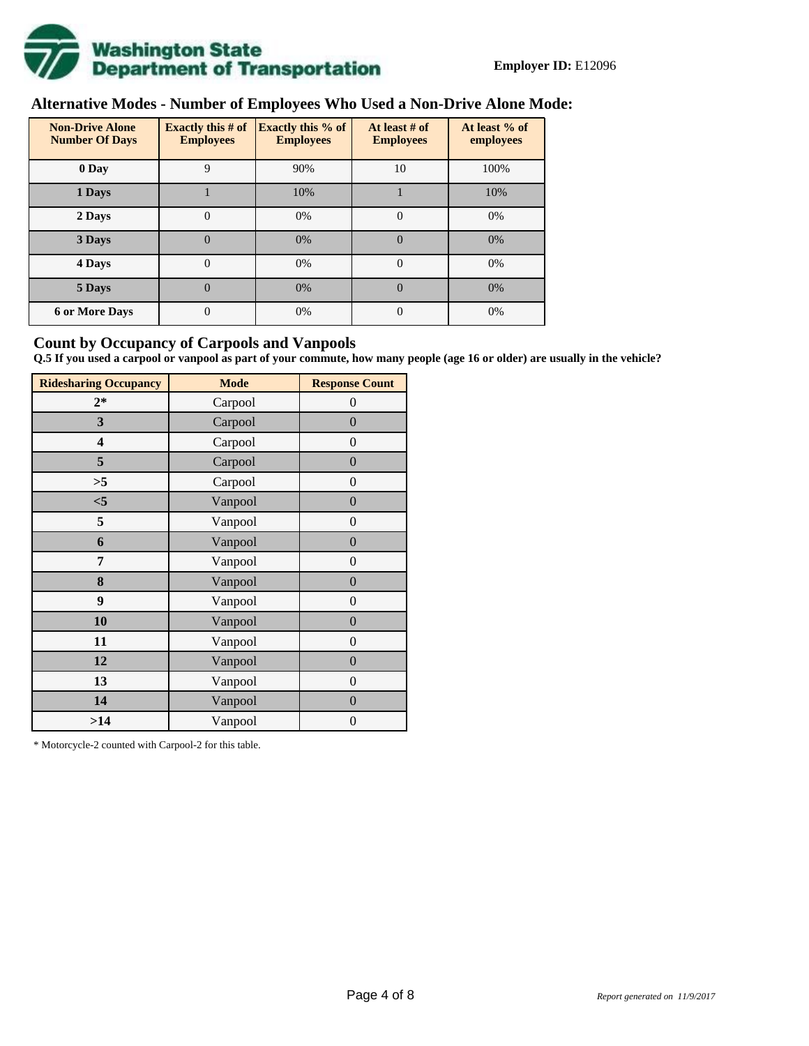

# **Alternative Modes - Number of Employees Who Used a Non-Drive Alone Mode:**

| <b>Non-Drive Alone</b><br><b>Number Of Days</b> | <b>Exactly this # of</b><br><b>Employees</b> | <b>Exactly this % of</b><br><b>Employees</b> | At least # of<br><b>Employees</b> | At least % of<br>employees |
|-------------------------------------------------|----------------------------------------------|----------------------------------------------|-----------------------------------|----------------------------|
| 0 Day                                           | 9                                            | 90%                                          | 10                                | 100%                       |
| 1 Days                                          |                                              | 10%                                          |                                   | 10%                        |
| 2 Days                                          | 0                                            | 0%                                           | $\Omega$                          | 0%                         |
| 3 Days                                          | $\overline{0}$                               | 0%                                           | $\Omega$                          | 0%                         |
| 4 Days                                          | $\theta$                                     | 0%                                           | $\Omega$                          | 0%                         |
| 5 Days                                          | 0                                            | 0%                                           | $\theta$                          | 0%                         |
| <b>6 or More Days</b>                           | $\theta$                                     | 0%                                           | $\Omega$                          | 0%                         |

### **Count by Occupancy of Carpools and Vanpools**

**Q.5 If you used a carpool or vanpool as part of your commute, how many people (age 16 or older) are usually in the vehicle?**

| <b>Ridesharing Occupancy</b> | <b>Mode</b> | <b>Response Count</b> |
|------------------------------|-------------|-----------------------|
| $2*$                         | Carpool     | $\theta$              |
| 3                            | Carpool     | $\overline{0}$        |
| 4                            | Carpool     | $\theta$              |
| 5                            | Carpool     | $\overline{0}$        |
| >5                           | Carpool     | $\overline{0}$        |
| $<$ 5                        | Vanpool     | $\overline{0}$        |
| 5                            | Vanpool     | $\overline{0}$        |
| 6                            | Vanpool     | $\boldsymbol{0}$      |
| 7                            | Vanpool     | $\overline{0}$        |
| 8                            | Vanpool     | $\overline{0}$        |
| 9                            | Vanpool     | $\overline{0}$        |
| 10                           | Vanpool     | $\overline{0}$        |
| 11                           | Vanpool     | $\overline{0}$        |
| 12                           | Vanpool     | $\boldsymbol{0}$      |
| 13                           | Vanpool     | $\boldsymbol{0}$      |
| 14                           | Vanpool     | $\overline{0}$        |
| >14                          | Vanpool     | $\boldsymbol{0}$      |

\* Motorcycle-2 counted with Carpool-2 for this table.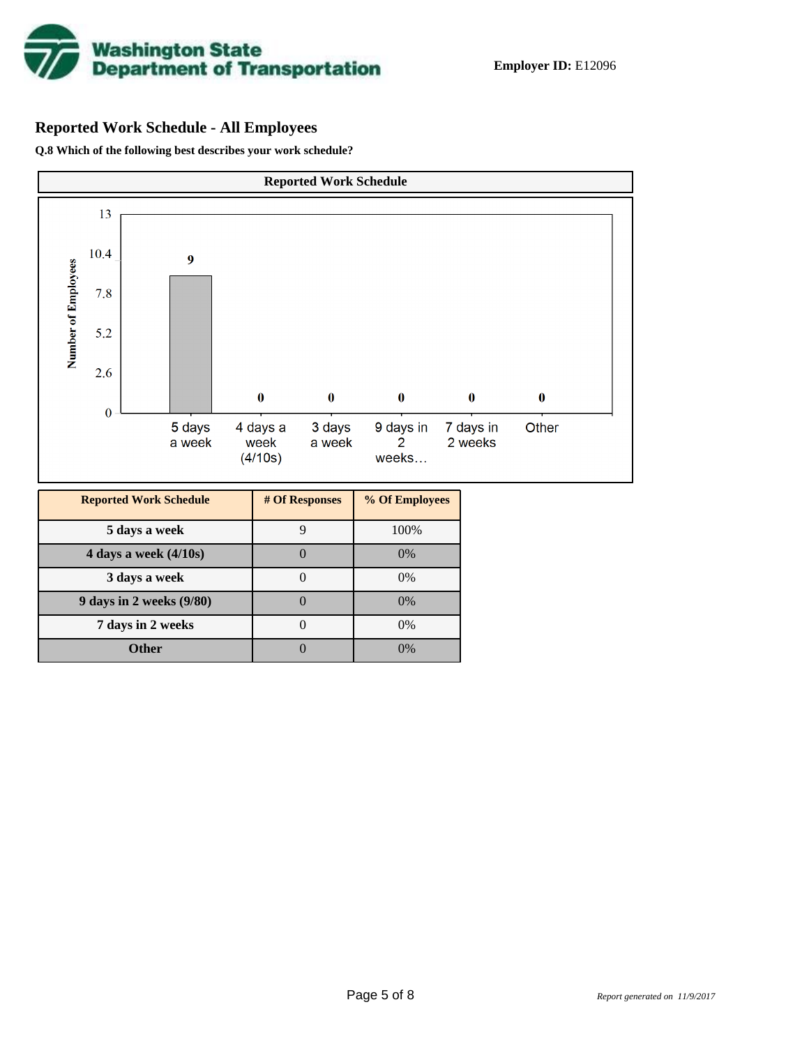

## **Reported Work Schedule - All Employees**

**Q.8 Which of the following best describes your work schedule?**

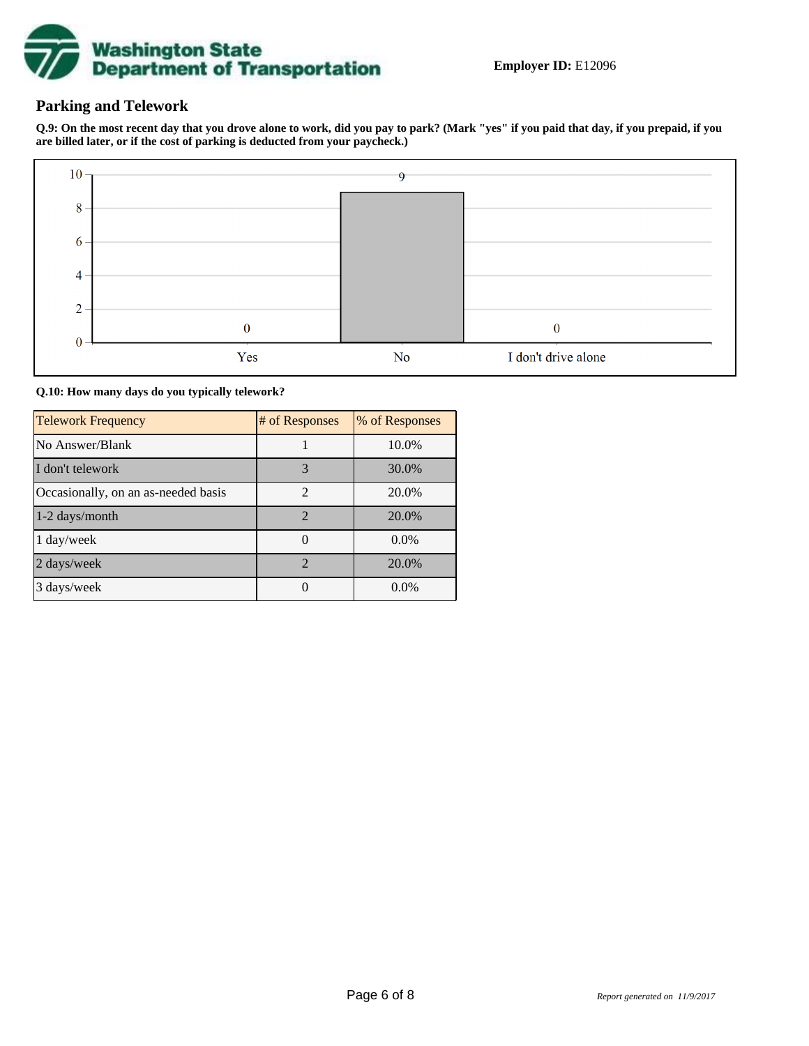

### **Parking and Telework**

**Q.9: On the most recent day that you drove alone to work, did you pay to park? (Mark "yes" if you paid that day, if you prepaid, if you are billed later, or if the cost of parking is deducted from your paycheck.)**



**Q.10: How many days do you typically telework?**

| <b>Telework Frequency</b>           | # of Responses        | % of Responses |
|-------------------------------------|-----------------------|----------------|
| No Answer/Blank                     |                       | 10.0%          |
| I don't telework                    | 3                     | 30.0%          |
| Occasionally, on an as-needed basis | $\mathfrak{D}$        | 20.0%          |
| 1-2 days/month                      | $\overline{2}$        | 20.0%          |
| 1 day/week                          |                       | 0.0%           |
| 2 days/week                         | $\mathcal{D}_{\cdot}$ | 20.0%          |
| 3 days/week                         |                       | $0.0\%$        |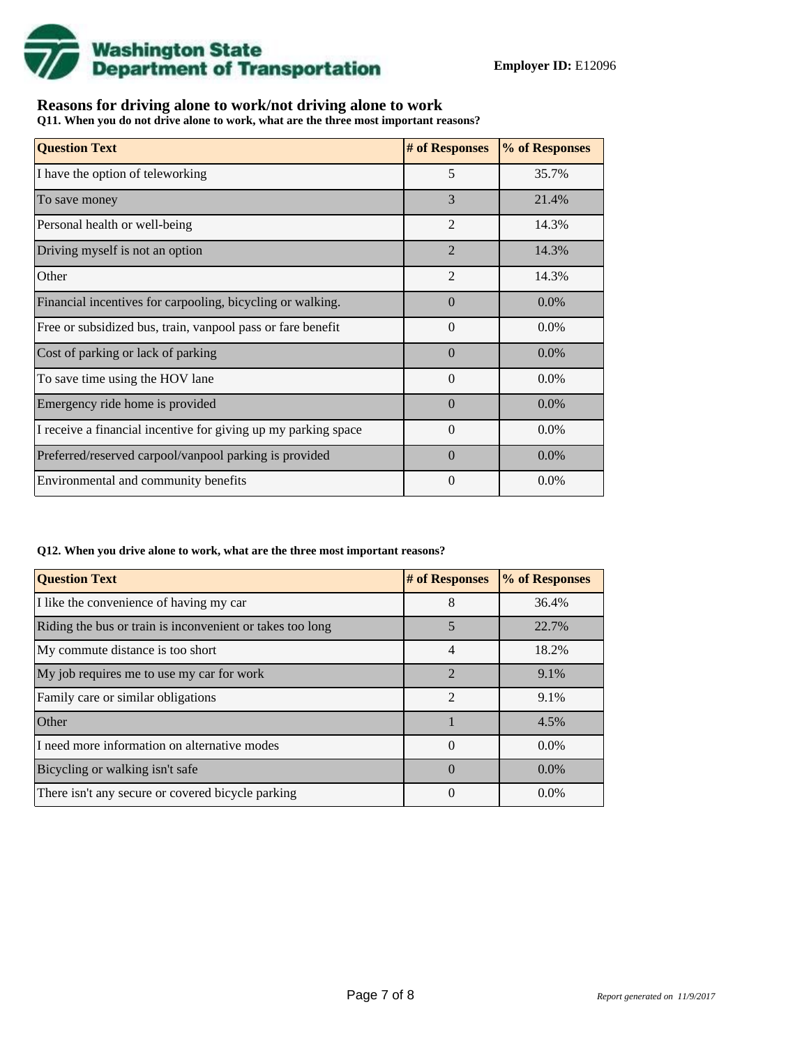

## **Reasons for driving alone to work/not driving alone to work**

**Q11. When you do not drive alone to work, what are the three most important reasons?**

| <b>Question Text</b>                                           | # of Responses | % of Responses |
|----------------------------------------------------------------|----------------|----------------|
| I have the option of teleworking                               | 5              | 35.7%          |
| To save money                                                  | 3              | 21.4%          |
| Personal health or well-being                                  | $\overline{2}$ | 14.3%          |
| Driving myself is not an option                                | $\overline{2}$ | 14.3%          |
| Other                                                          | $\overline{2}$ | 14.3%          |
| Financial incentives for carpooling, bicycling or walking.     | $\Omega$       | $0.0\%$        |
| Free or subsidized bus, train, vanpool pass or fare benefit    | $\Omega$       | $0.0\%$        |
| Cost of parking or lack of parking                             | $\Omega$       | $0.0\%$        |
| To save time using the HOV lane                                | $\Omega$       | $0.0\%$        |
| Emergency ride home is provided                                | $\Omega$       | $0.0\%$        |
| I receive a financial incentive for giving up my parking space | $\Omega$       | $0.0\%$        |
| Preferred/reserved carpool/vanpool parking is provided         | $\Omega$       | 0.0%           |
| Environmental and community benefits                           | $\theta$       | $0.0\%$        |

#### **Q12. When you drive alone to work, what are the three most important reasons?**

| <b>Question Text</b>                                      | # of Responses | % of Responses |
|-----------------------------------------------------------|----------------|----------------|
| I like the convenience of having my car                   | 8              | 36.4%          |
| Riding the bus or train is inconvenient or takes too long | 5              | 22.7%          |
| My commute distance is too short                          | $\overline{4}$ | 18.2%          |
| My job requires me to use my car for work                 | $\mathfrak{D}$ | 9.1%           |
| Family care or similar obligations                        | $\mathfrak{D}$ | 9.1%           |
| Other                                                     |                | 4.5%           |
| I need more information on alternative modes              | $\Omega$       | $0.0\%$        |
| Bicycling or walking isn't safe                           | $\Omega$       | $0.0\%$        |
| There isn't any secure or covered bicycle parking         | 0              | $0.0\%$        |